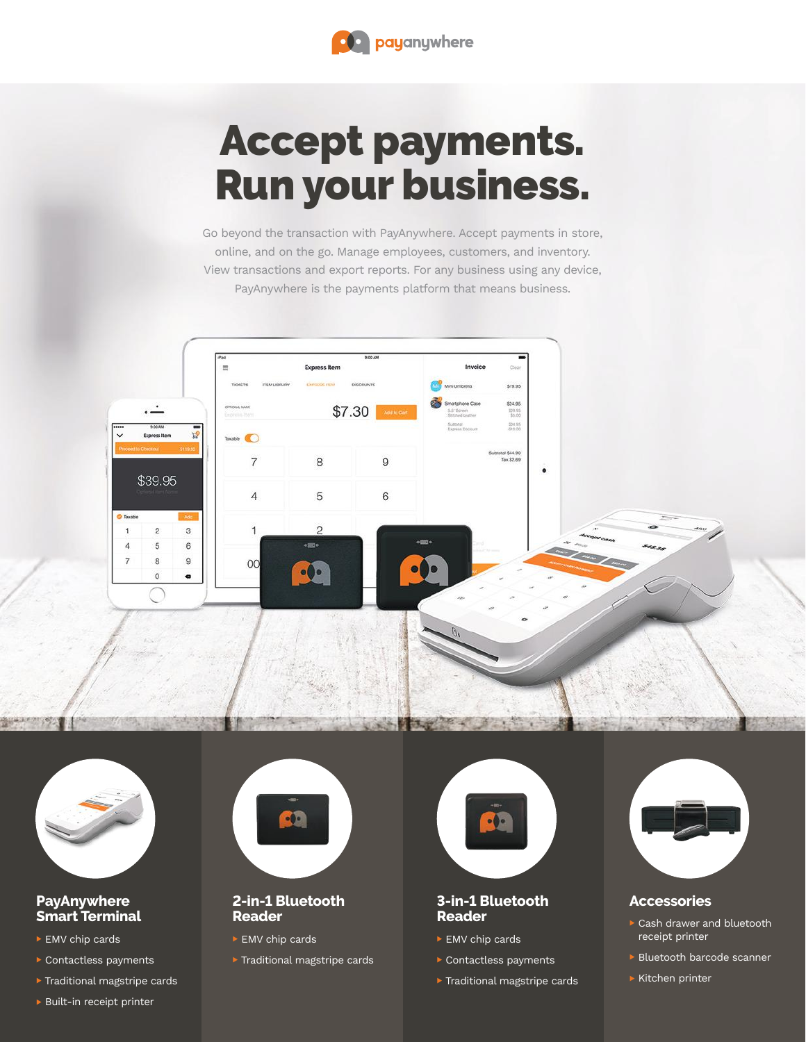

## Accept payments. Run your business.

Go beyond the transaction with PayAnywhere. Accept payments in store, online, and on the go. Manage employees, customers, and inventory. View transactions and export reports. For any business using any device, PayAnywhere is the payments platform that means business.





#### **PayAnywhere Smart Terminal**

- ▶ EMV chip cards
- Contactless payments
- **Traditional magstripe cards**



#### **2-in-1 Bluetooth Reader**

- $\blacktriangleright$  EMV chip cards
- $\triangleright$  Traditional magstripe cards



#### **3-in-1 Bluetooth Reader**

- ► EMV chip cards
- Contactless payments
- **Traditional magstripe cards**



### **Accessories**

- Cash drawer and bluetooth receipt printer
- **Bluetooth barcode scanner**
- $\blacktriangleright$  Kitchen printer